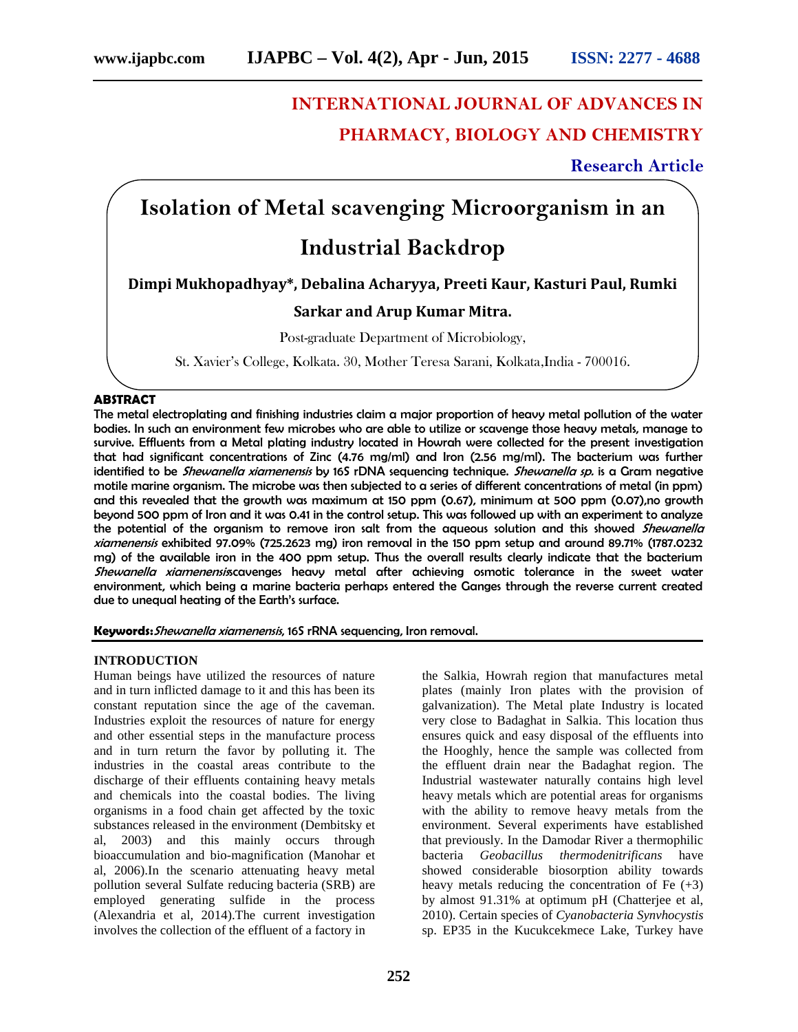# **INTERNATIONAL JOURNAL OF ADVANCES IN PHARMACY, BIOLOGY AND CHEMISTRY**

## **Research Article**

# **Isolation of Metal scavenging Microorganism in an**

## **Industrial Backdrop**

**Dimpi Mukhopadhyay\*, Debalina Acharyya, Preeti Kaur, Kasturi Paul, Rumki**

### **Sarkar and Arup Kumar Mitra.**

Post-graduate Department of Microbiology,

St. Xavier's College, Kolkata. 30, Mother Teresa Sarani, Kolkata,India - 700016.

#### **ABSTRACT**

The metal electroplating and finishing industries claim a major proportion of heavy metal pollution of the water bodies. In such an environment few microbes who are able to utilize or scavenge those heavy metals, manage to survive. Effluents from a Metal plating industry located in Howrah were collected for the present investigation that had significant concentrations of Zinc (4.76 mg/ml) and Iron (2.56 mg/ml). The bacterium was further identified to be *Shewanella xiamenensis* by 16S rDNA sequencing technique. *Shewanella sp.* is a Gram negative motile marine organism. The microbe was then subjected to a series of different concentrations of metal (in ppm) and this revealed that the growth was maximum at 150 ppm (0.67), minimum at 500 ppm (0.07),no growth beyond 500 ppm of Iron and it was 0.41 in the control setup. This was followed up with an experiment to analyze the potential of the organism to remove iron salt from the aqueous solution and this showed *Shewanella xiamenensis* exhibited 97.09% (725.2623 mg) iron removal in the 150 ppm setup and around 89.71% (1787.0232 mg) of the available iron in the 400 ppm setup. Thus the overall results clearly indicate that the bacterium *Shewanella xiamenensis*scavenges heavy metal after achieving osmotic tolerance in the sweet water environment, which being a marine bacteria perhaps entered the Ganges through the reverse current created due to unequal heating of the Earth's surface.

**Keywords:***Shewanella xiamenensis*, 16S rRNA sequencing, Iron removal.

#### **INTRODUCTION**

Human beings have utilized the resources of nature and in turn inflicted damage to it and this has been its constant reputation since the age of the caveman. Industries exploit the resources of nature for energy and other essential steps in the manufacture process and in turn return the favor by polluting it. The industries in the coastal areas contribute to the discharge of their effluents containing heavy metals and chemicals into the coastal bodies. The living organisms in a food chain get affected by the toxic substances released in the environment (Dembitsky et al, 2003) and this mainly occurs through bioaccumulation and bio-magnification (Manohar et al, 2006).In the scenario attenuating heavy metal pollution several Sulfate reducing bacteria (SRB) are employed generating sulfide in the process (Alexandria et al, 2014).The current investigation involves the collection of the effluent of a factory in

the Salkia, Howrah region that manufactures metal plates (mainly Iron plates with the provision of galvanization). The Metal plate Industry is located very close to Badaghat in Salkia. This location thus ensures quick and easy disposal of the effluents into the Hooghly, hence the sample was collected from the effluent drain near the Badaghat region. The Industrial wastewater naturally contains high level heavy metals which are potential areas for organisms with the ability to remove heavy metals from the environment. Several experiments have established that previously. In the Damodar River a thermophilic bacteria *Geobacillus thermodenitrificans* have showed considerable biosorption ability towards heavy metals reducing the concentration of Fe  $(+3)$ by almost 91.31% at optimum pH (Chatterjee et al, 2010). Certain species of *Cyanobacteria Synvhocystis* sp. EP35 in the Kucukcekmece Lake, Turkey have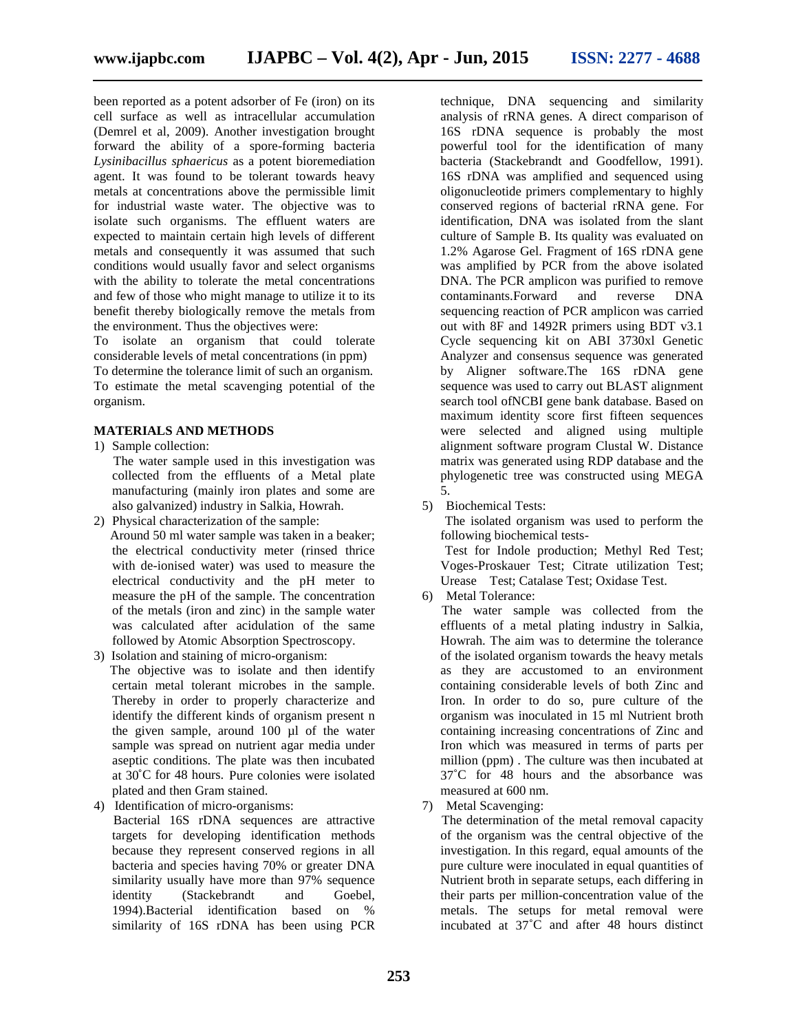been reported as a potent adsorber of Fe (iron) on its cell surface as well as intracellular accumulation (Demrel et al, 2009). Another investigation brought forward the ability of a spore-forming bacteria *Lysinibacillus sphaericus* as a potent bioremediation agent. It was found to be tolerant towards heavy metals at concentrations above the permissible limit for industrial waste water. The objective was to isolate such organisms. The effluent waters are expected to maintain certain high levels of different metals and consequently it was assumed that such conditions would usually favor and select organisms with the ability to tolerate the metal concentrations and few of those who might manage to utilize it to its benefit thereby biologically remove the metals from the environment. Thus the objectives were:

To isolate an organism that could tolerate considerable levels of metal concentrations (in ppm) To determine the tolerance limit of such an organism. To estimate the metal scavenging potential of the organism.

#### **MATERIALS AND METHODS**

- 1) Sample collection:
	- The water sample used in this investigation was collected from the effluents of a Metal plate manufacturing (mainly iron plates and some are also galvanized) industry in Salkia, Howrah.
- 2) Physical characterization of the sample: Around 50 ml water sample was taken in a beaker; the electrical conductivity meter (rinsed thrice with de-ionised water) was used to measure the electrical conductivity and the pH meter to measure the pH of the sample. The concentration of the metals (iron and zinc) in the sample water was calculated after acidulation of the same followed by Atomic Absorption Spectroscopy.
- 3) Isolation and staining of micro-organism: The objective was to isolate and then identify certain metal tolerant microbes in the sample. Thereby in order to properly characterize and identify the different kinds of organism present n the given sample, around 100 µl of the water sample was spread on nutrient agar media under aseptic conditions. The plate was then incubated at 30˚C for 48 hours. Pure colonies were isolated plated and then Gram stained.
- 4) Identification of micro-organisms:

Bacterial 16S rDNA sequences are attractive targets for developing identification methods because they represent conserved regions in all bacteria and species having 70% or greater DNA similarity usually have more than 97% sequence identity (Stackebrandt and Goebel, 1994).Bacterial identification based on % similarity of 16S rDNA has been using PCR

technique, DNA sequencing and similarity analysis of rRNA genes. A direct comparison of 16S rDNA sequence is probably the most powerful tool for the identification of many bacteria (Stackebrandt and Goodfellow, 1991). 16S rDNA was amplified and sequenced using oligonucleotide primers complementary to highly conserved regions of bacterial rRNA gene. For identification, DNA was isolated from the slant culture of Sample B. Its quality was evaluated on 1.2% Agarose Gel. Fragment of 16S rDNA gene was amplified by PCR from the above isolated DNA. The PCR amplicon was purified to remove contaminants.Forward and reverse DNA sequencing reaction of PCR amplicon was carried out with 8F and 1492R primers using BDT v3.1 Cycle sequencing kit on ABI 3730xl Genetic Analyzer and consensus sequence was generated by Aligner software.The 16S rDNA gene sequence was used to carry out BLAST alignment search tool ofNCBI gene bank database. Based on maximum identity score first fifteen sequences were selected and aligned using multiple alignment software program Clustal W. Distance matrix was generated using RDP database and the phylogenetic tree was constructed using MEGA 5.

5) Biochemical Tests:

The isolated organism was used to perform the following biochemical tests-

Test for Indole production; Methyl Red Test; Voges-Proskauer Test; Citrate utilization Test; Urease Test; Catalase Test; Oxidase Test.

6) Metal Tolerance:

The water sample was collected from the effluents of a metal plating industry in Salkia, Howrah. The aim was to determine the tolerance of the isolated organism towards the heavy metals as they are accustomed to an environment containing considerable levels of both Zinc and Iron. In order to do so, pure culture of the organism was inoculated in 15 ml Nutrient broth containing increasing concentrations of Zinc and Iron which was measured in terms of parts per million (ppm) . The culture was then incubated at 37˚C for 48 hours and the absorbance was measured at 600 nm.

7) Metal Scavenging:

The determination of the metal removal capacity of the organism was the central objective of the investigation. In this regard, equal amounts of the pure culture were inoculated in equal quantities of Nutrient broth in separate setups, each differing in their parts per million-concentration value of the metals. The setups for metal removal were incubated at 37˚C and after 48 hours distinct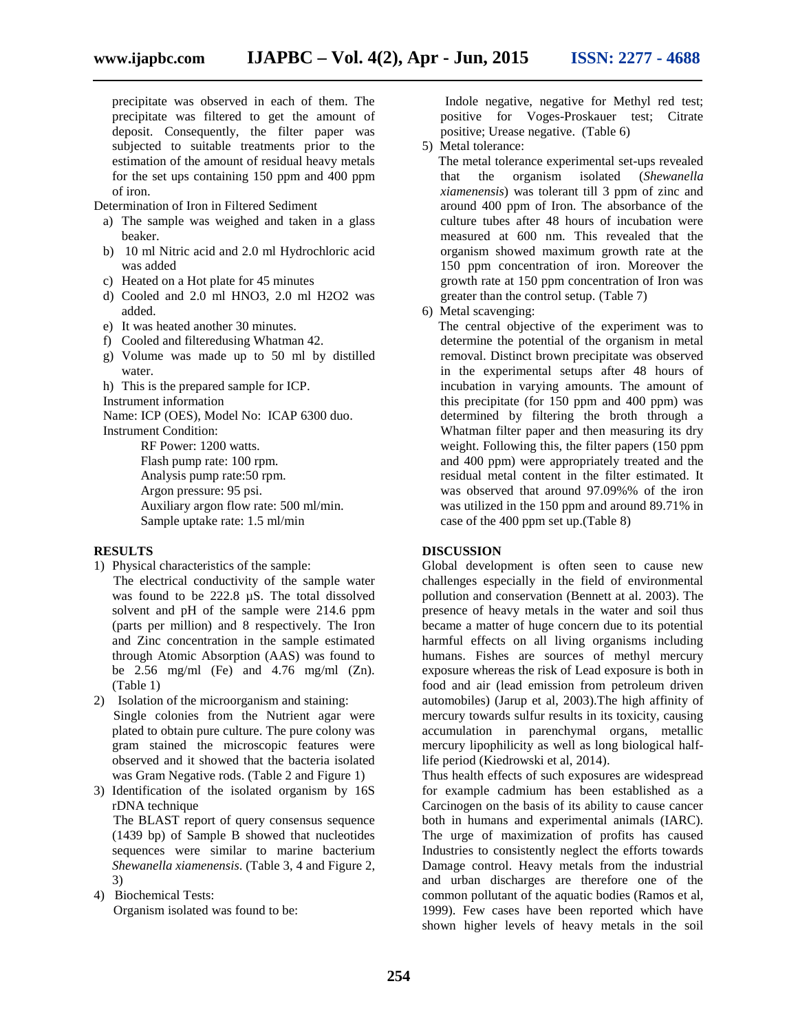precipitate was observed in each of them. The precipitate was filtered to get the amount of deposit. Consequently, the filter paper was subjected to suitable treatments prior to the estimation of the amount of residual heavy metals for the set ups containing 150 ppm and 400 ppm of iron.

Determination of Iron in Filtered Sediment

- a) The sample was weighed and taken in a glass beaker.
- b) 10 ml Nitric acid and 2.0 ml Hydrochloric acid was added
- c) Heated on a Hot plate for 45 minutes
- d) Cooled and 2.0 ml HNO3, 2.0 ml H2O2 was added.
- e) It was heated another 30 minutes.
- f) Cooled and filteredusing Whatman 42.
- g) Volume was made up to 50 ml by distilled water.
- h) This is the prepared sample for ICP.
- Instrument information

Name: ICP (OES), Model No: ICAP 6300 duo. Instrument Condition:

RF Power: 1200 watts. Flash pump rate: 100 rpm. Analysis pump rate:50 rpm. Argon pressure: 95 psi. Auxiliary argon flow rate: 500 ml/min. Sample uptake rate: 1.5 ml/min

#### **RESULTS**

1) Physical characteristics of the sample:

The electrical conductivity of the sample water was found to be 222.8  $\mu$ S. The total dissolved solvent and pH of the sample were 214.6 ppm (parts per million) and 8 respectively. The Iron and Zinc concentration in the sample estimated through Atomic Absorption (AAS) was found to be 2.56 mg/ml (Fe) and 4.76 mg/ml (Zn). (Table 1)

- 2) Isolation of the microorganism and staining: Single colonies from the Nutrient agar were plated to obtain pure culture. The pure colony was gram stained the microscopic features were observed and it showed that the bacteria isolated was Gram Negative rods. (Table 2 and Figure 1)
- 3) Identification of the isolated organism by 16S rDNA technique

The BLAST report of query consensus sequence (1439 bp) of Sample B showed that nucleotides sequences were similar to marine bacterium *Shewanella xiamenensis*. (Table 3, 4 and Figure 2, 3)

4) Biochemical Tests: Organism isolated was found to be:

Indole negative, negative for Methyl red test; positive for Voges-Proskauer test; Citrate positive; Urease negative. (Table 6)

5) Metal tolerance:

The metal tolerance experimental set-ups revealed the organism isolated (*Shewanella*) *xiamenensis*) was tolerant till 3 ppm of zinc and around 400 ppm of Iron. The absorbance of the culture tubes after 48 hours of incubation were measured at 600 nm. This revealed that the organism showed maximum growth rate at the 150 ppm concentration of iron. Moreover the growth rate at 150 ppm concentration of Iron was greater than the control setup. (Table 7)

6) Metal scavenging:

The central objective of the experiment was to determine the potential of the organism in metal removal. Distinct brown precipitate was observed in the experimental setups after 48 hours of incubation in varying amounts. The amount of this precipitate (for 150 ppm and 400 ppm) was determined by filtering the broth through a Whatman filter paper and then measuring its dry weight. Following this, the filter papers (150 ppm and 400 ppm) were appropriately treated and the residual metal content in the filter estimated. It was observed that around 97.09%% of the iron was utilized in the 150 ppm and around 89.71% in case of the 400 ppm set up.(Table 8)

#### **DISCUSSION**

Global development is often seen to cause new challenges especially in the field of environmental pollution and conservation (Bennett at al. 2003). The presence of heavy metals in the water and soil thus became a matter of huge concern due to its potential harmful effects on all living organisms including humans. Fishes are sources of methyl mercury exposure whereas the risk of Lead exposure is both in food and air (lead emission from petroleum driven automobiles) (Jarup et al, 2003).The high affinity of mercury towards sulfur results in its toxicity, causing accumulation in parenchymal organs, metallic mercury lipophilicity as well as long biological halflife period (Kiedrowski et al, 2014).

Thus health effects of such exposures are widespread for example cadmium has been established as a Carcinogen on the basis of its ability to cause cancer both in humans and experimental animals (IARC). The urge of maximization of profits has caused Industries to consistently neglect the efforts towards Damage control. Heavy metals from the industrial and urban discharges are therefore one of the common pollutant of the aquatic bodies (Ramos et al, 1999). Few cases have been reported which have shown higher levels of heavy metals in the soil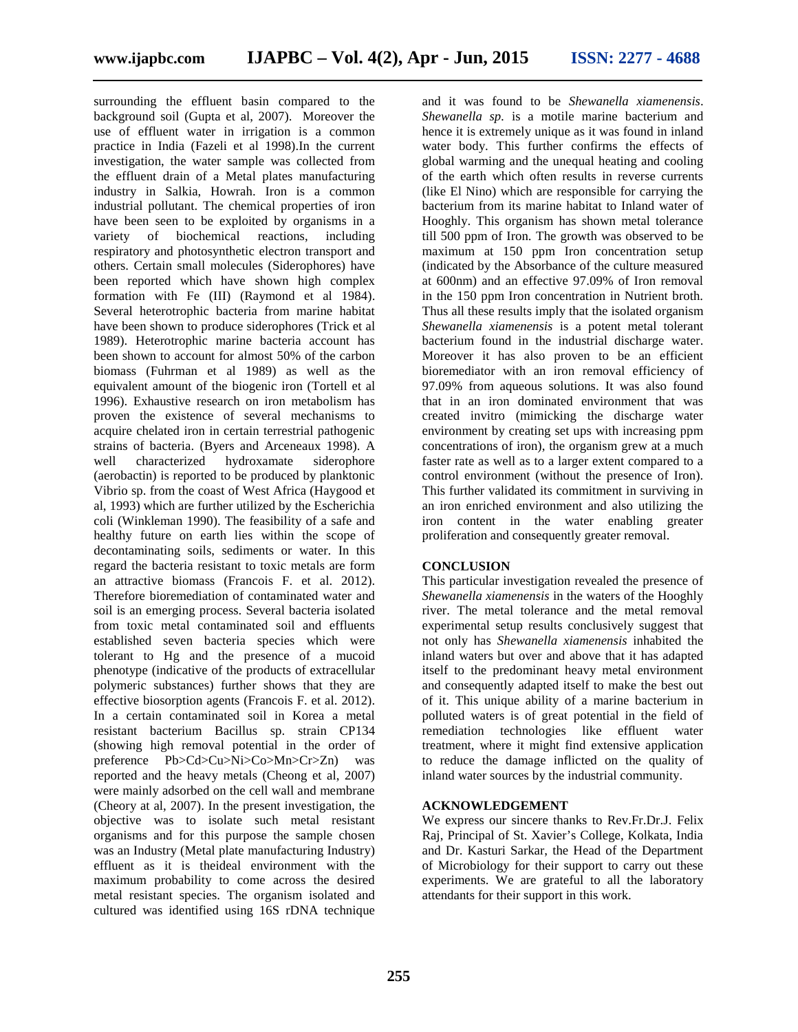surrounding the effluent basin compared to the background soil (Gupta et al, 2007). Moreover the use of effluent water in irrigation is a common practice in India (Fazeli et al 1998).In the current investigation, the water sample was collected from the effluent drain of a Metal plates manufacturing industry in Salkia, Howrah. Iron is a common industrial pollutant. The chemical properties of iron have been seen to be exploited by organisms in a variety of biochemical reactions, including respiratory and photosynthetic electron transport and others. Certain small molecules (Siderophores) have been reported which have shown high complex formation with Fe (III) (Raymond et al 1984). Several heterotrophic bacteria from marine habitat have been shown to produce siderophores (Trick et al 1989). Heterotrophic marine bacteria account has been shown to account for almost 50% of the carbon biomass (Fuhrman et al 1989) as well as the equivalent amount of the biogenic iron (Tortell et al 1996). Exhaustive research on iron metabolism has proven the existence of several mechanisms to acquire chelated iron in certain terrestrial pathogenic strains of bacteria. (Byers and Arceneaux 1998). A well characterized hydroxamate siderophore (aerobactin) is reported to be produced by planktonic Vibrio sp. from the coast of West Africa (Haygood et al, 1993) which are further utilized by the Escherichia coli (Winkleman 1990). The feasibility of a safe and healthy future on earth lies within the scope of decontaminating soils, sediments or water. In this regard the bacteria resistant to toxic metals are form an attractive biomass (Francois F. et al. 2012). Therefore bioremediation of contaminated water and soil is an emerging process. Several bacteria isolated from toxic metal contaminated soil and effluents established seven bacteria species which were tolerant to Hg and the presence of a mucoid phenotype (indicative of the products of extracellular polymeric substances) further shows that they are effective biosorption agents (Francois F. et al. 2012). In a certain contaminated soil in Korea a metal resistant bacterium Bacillus sp. strain CP134 (showing high removal potential in the order of preference Pb>Cd>Cu>Ni>Co>Mn>Cr>Zn) was reported and the heavy metals (Cheong et al, 2007) were mainly adsorbed on the cell wall and membrane (Cheory at al, 2007). In the present investigation, the objective was to isolate such metal resistant organisms and for this purpose the sample chosen was an Industry (Metal plate manufacturing Industry) effluent as it is theideal environment with the maximum probability to come across the desired metal resistant species. The organism isolated and cultured was identified using 16S rDNA technique

and it was found to be *Shewanella xiamenensis*. *Shewanella sp.* is a motile marine bacterium and hence it is extremely unique as it was found in inland water body. This further confirms the effects of global warming and the unequal heating and cooling of the earth which often results in reverse currents (like El Nino) which are responsible for carrying the bacterium from its marine habitat to Inland water of Hooghly. This organism has shown metal tolerance till 500 ppm of Iron. The growth was observed to be maximum at 150 ppm Iron concentration setup (indicated by the Absorbance of the culture measured at 600nm) and an effective 97.09% of Iron removal in the 150 ppm Iron concentration in Nutrient broth. Thus all these results imply that the isolated organism *Shewanella xiamenensis* is a potent metal tolerant bacterium found in the industrial discharge water. Moreover it has also proven to be an efficient bioremediator with an iron removal efficiency of 97.09% from aqueous solutions. It was also found that in an iron dominated environment that was created invitro (mimicking the discharge water environment by creating set ups with increasing ppm concentrations of iron), the organism grew at a much faster rate as well as to a larger extent compared to a control environment (without the presence of Iron). This further validated its commitment in surviving in an iron enriched environment and also utilizing the iron content in the water enabling greater proliferation and consequently greater removal.

#### **CONCLUSION**

This particular investigation revealed the presence of *Shewanella xiamenensis* in the waters of the Hooghly river. The metal tolerance and the metal removal experimental setup results conclusively suggest that not only has *Shewanella xiamenensis* inhabited the inland waters but over and above that it has adapted itself to the predominant heavy metal environment and consequently adapted itself to make the best out of it. This unique ability of a marine bacterium in polluted waters is of great potential in the field of remediation technologies like effluent water treatment, where it might find extensive application to reduce the damage inflicted on the quality of inland water sources by the industrial community.

#### **ACKNOWLEDGEMENT**

We express our sincere thanks to Rev.Fr.Dr.J. Felix Raj, Principal of St. Xavier's College, Kolkata, India and Dr. Kasturi Sarkar, the Head of the Department of Microbiology for their support to carry out these experiments. We are grateful to all the laboratory attendants for their support in this work.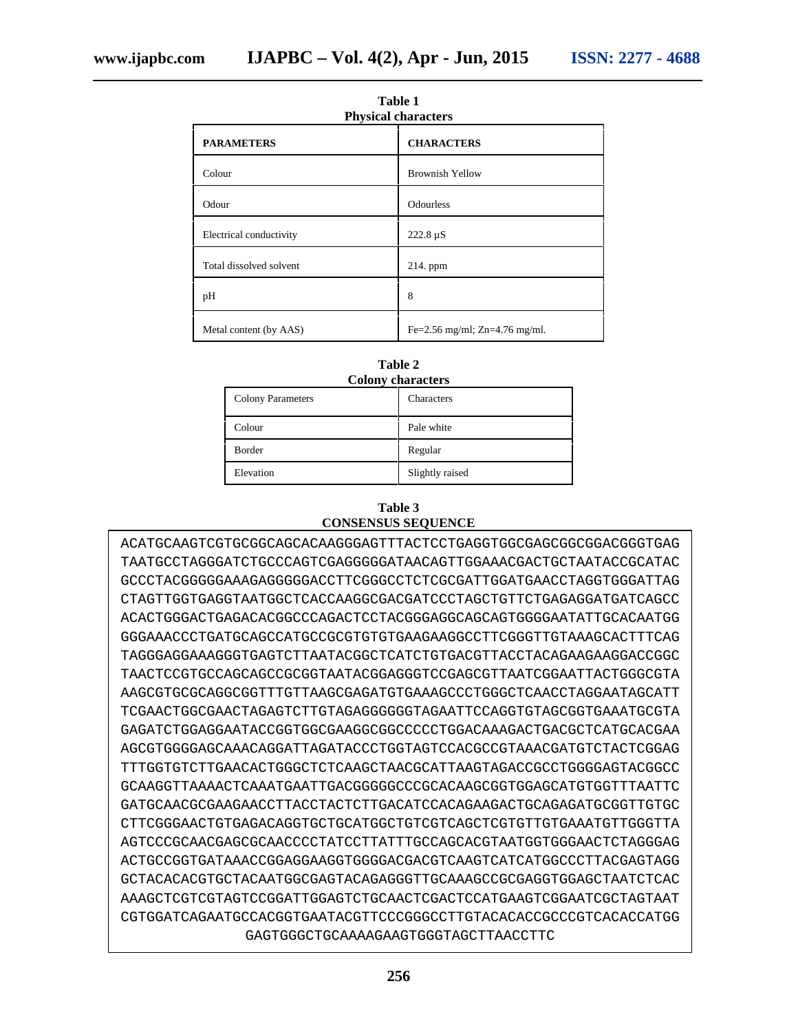| <b>Physical characters</b> |                               |  |  |
|----------------------------|-------------------------------|--|--|
| <b>PARAMETERS</b>          | <b>CHARACTERS</b>             |  |  |
| Colour                     | <b>Brownish Yellow</b>        |  |  |
| Odour                      | Odourless                     |  |  |
| Electrical conductivity    | $222.8 \,\mu S$               |  |  |
| Total dissolved solvent    | $214.$ ppm                    |  |  |
| pH                         | 8                             |  |  |
| Metal content (by AAS)     | Fe=2.56 mg/ml; Zn=4.76 mg/ml. |  |  |

| Table 1             |
|---------------------|
| Phvsical characters |

| <b>Colony characters</b> |                   |  |  |
|--------------------------|-------------------|--|--|
| <b>Colony Parameters</b> | <b>Characters</b> |  |  |
| Colour                   | Pale white        |  |  |
| <b>Border</b>            | Regular           |  |  |
| Elevation                | Slightly raised   |  |  |
|                          |                   |  |  |

# **Table 2**

#### **Table 3 CONSENSUS SEQUENCE**

ACATGCAAGTCGTGCGGCAGCACAAGGGAGTTTACTCCTGAGGTGGCGAGCGGCGGACGGGTGAG TAATGCCTAGGGATCTGCCCAGTCGAGGGGGATAACAGTTGGAAACGACTGCTAATACCGCATAC GCCCTACGGGGGAAAGAGGGGGACCTTCGGGCCTCTCGCGATTGGATGAACCTAGGTGGGATTAG CTAGTTGGTGAGGTAATGGCTCACCAAGGCGACGATCCCTAGCTGTTCTGAGAGGATGATCAGCC ACACTGGGACTGAGACACGGCCCAGACTCCTACGGGAGGCAGCAGTGGGGAATATTGCACAATGG GGGAAACCCTGATGCAGCCATGCCGCGTGTGTGAAGAAGGCCTTCGGGTTGTAAAGCACTTTCAG TAGGGAGGAAAGGGTGAGTCTTAATACGGCTCATCTGTGACGTTACCTACAGAAGAAGGACCGGC TAACTCCGTGCCAGCAGCCGCGGTAATACGGAGGGTCCGAGCGTTAATCGGAATTACTGGGCGTA AAGCGTGCGCAGGCGGTTTGTTAAGCGAGATGTGAAAGCCCTGGGCTCAACCTAGGAATAGCATT TCGAACTGGCGAACTAGAGTCTTGTAGAGGGGGGTAGAATTCCAGGTGTAGCGGTGAAATGCGTA GAGATCTGGAGGAATACCGGTGGCGAAGGCGGCCCCCTGGACAAAGACTGACGCTCATGCACGAA AGCGTGGGGAGCAAACAGGATTAGATACCCTGGTAGTCCACGCCGTAAACGATGTCTACTCGGAG TTTGGTGTCTTGAACACTGGGCTCTCAAGCTAACGCATTAAGTAGACCGCCTGGGGAGTACGGCC GCAAGGTTAAAACTCAAATGAATTGACGGGGGCCCGCACAAGCGGTGGAGCATGTGGTTTAATTC GATGCAACGCGAAGAACCTTACCTACTCTTGACATCCACAGAAGACTGCAGAGATGCGGTTGTGC CTTCGGGAACTGTGAGACAGGTGCTGCATGGCTGTCGTCAGCTCGTGTTGTGAAATGTTGGGTTA AGTCCCGCAACGAGCGCAACCCCTATCCTTATTTGCCAGCACGTAATGGTGGGAACTCTAGGGAG ACTGCCGGTGATAAACCGGAGGAAGGTGGGGACGACGTCAAGTCATCATGGCCCTTACGAGTAGG GCTACACACGTGCTACAATGGCGAGTACAGAGGGTTGCAAAGCCGCGAGGTGGAGCTAATCTCAC AAAGCTCGTCGTAGTCCGGATTGGAGTCTGCAACTCGACTCCATGAAGTCGGAATCGCTAGTAAT CGTGGATCAGAATGCCACGGTGAATACGTTCCCGGGCCTTGTACACACCGCCCGTCACACCATGG GAGTGGGCTGCAAAAGAAGTGGGTAGCTTAACCTTC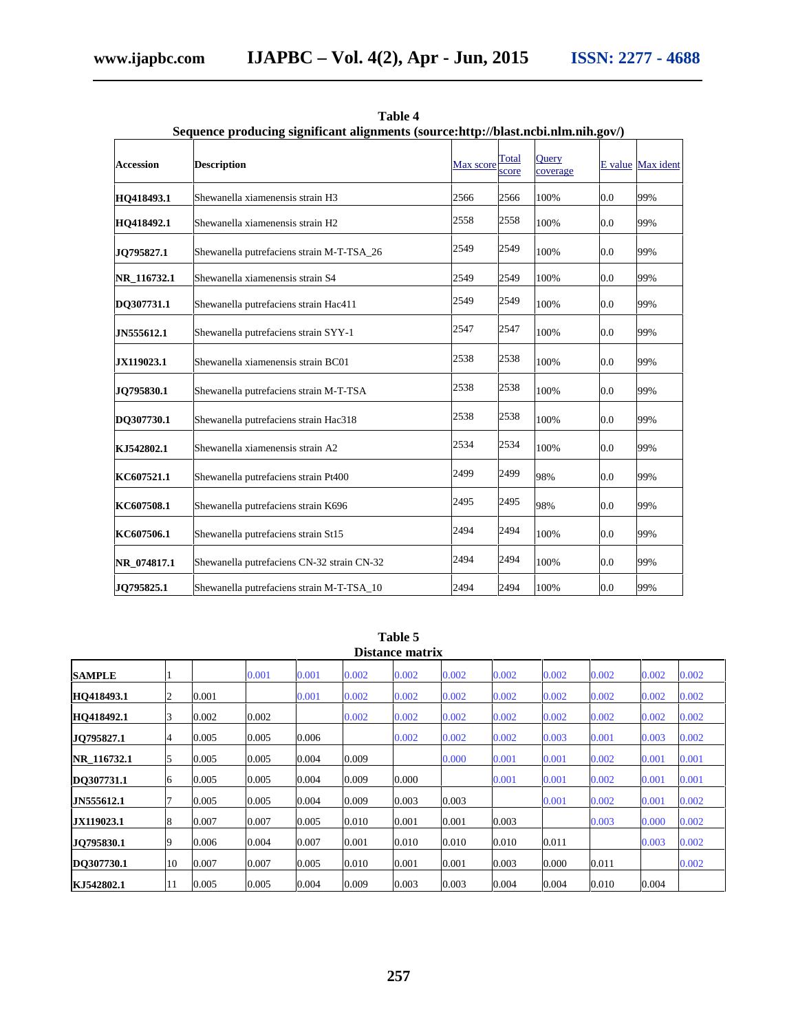| Sequence producing significant alignments (source:http://blast.ncbi.nlm.nih.gov/) |                                            |           |                |                          |     |                   |
|-----------------------------------------------------------------------------------|--------------------------------------------|-----------|----------------|--------------------------|-----|-------------------|
| <b>Accession</b>                                                                  | <b>Description</b>                         | Max score | Total<br>score | <b>Ouery</b><br>coverage |     | E value Max ident |
| HO418493.1                                                                        | Shewanella xiamenensis strain H3           | 2566      | 2566           | 100%                     | 0.0 | 99%               |
| HO418492.1                                                                        | Shewanella xiamenensis strain H2           | 2558      | 2558           | 100%                     | 0.0 | 99%               |
| JO795827.1                                                                        | Shewanella putrefaciens strain M-T-TSA_26  | 2549      | 2549           | 100%                     | 0.0 | 99%               |
| NR 116732.1                                                                       | Shewanella xiamenensis strain S4           | 2549      | 2549           | 100%                     | 0.0 | 99%               |
| DQ307731.1                                                                        | Shewanella putrefaciens strain Hac411      | 2549      | 2549           | 100%                     | 0.0 | 99%               |
| JN555612.1                                                                        | Shewanella putrefaciens strain SYY-1       | 2547      | 2547           | 100%                     | 0.0 | 99%               |
| JX119023.1                                                                        | Shewanella xiamenensis strain BC01         | 2538      | 2538           | 100%                     | 0.0 | 99%               |
| JO795830.1                                                                        | Shewanella putrefaciens strain M-T-TSA     | 2538      | 2538           | 100%                     | 0.0 | 99%               |
| DQ307730.1                                                                        | Shewanella putrefaciens strain Hac318      | 2538      | 2538           | 100%                     | 0.0 | 99%               |
| KJ542802.1                                                                        | Shewanella xiamenensis strain A2           | 2534      | 2534           | 100%                     | 0.0 | 99%               |
| KC607521.1                                                                        | Shewanella putrefaciens strain Pt400       | 2499      | 2499           | 98%                      | 0.0 | 99%               |
| KC607508.1                                                                        | Shewanella putrefaciens strain K696        | 2495      | 2495           | 98%                      | 0.0 | 99%               |
| KC607506.1                                                                        | Shewanella putrefaciens strain St15        | 2494      | 2494           | 100%                     | 0.0 | 99%               |
| NR 074817.1                                                                       | Shewanella putrefaciens CN-32 strain CN-32 | 2494      | 2494           | 100%                     | 0.0 | 99%               |
| JQ795825.1                                                                        | Shewanella putrefaciens strain M-T-TSA_10  | 2494      | 2494           | 100%                     | 0.0 | 99%               |

**Table 4 Sequence producing significant alignments (source:http://blast.ncbi.nlm.nih.gov/)**

**Table 5**

|                   |    |       |       |       |       | Distance matrix |       |       |       |       |       |       |
|-------------------|----|-------|-------|-------|-------|-----------------|-------|-------|-------|-------|-------|-------|
| <b>SAMPLE</b>     |    |       | 0.001 | 0.001 | 0.002 | 0.002           | 0.002 | 0.002 | 0.002 | 0.002 | 0.002 | 0.002 |
| <b>HO418493.1</b> | 2  | 0.001 |       | 0.001 | 0.002 | 0.002           | 0.002 | 0.002 | 0.002 | 0.002 | 0.002 | 0.002 |
| <b>HO418492.1</b> | 3  | 0.002 | 0.002 |       | 0.002 | 0.002           | 0.002 | 0.002 | 0.002 | 0.002 | 0.002 | 0.002 |
| JO795827.1        | 4  | 0.005 | 0.005 | 0.006 |       | 0.002           | 0.002 | 0.002 | 0.003 | 0.001 | 0.003 | 0.002 |
| NR 116732.1       | 5  | 0.005 | 0.005 | 0.004 | 0.009 |                 | 0.000 | 0.001 | 0.001 | 0.002 | 0.001 | 0.001 |
| DO307731.1        | 6  | 0.005 | 0.005 | 0.004 | 0.009 | 0.000           |       | 0.001 | 0.001 | 0.002 | 0.001 | 0.001 |
| JN555612.1        |    | 0.005 | 0.005 | 0.004 | 0.009 | 0.003           | 0.003 |       | 0.001 | 0.002 | 0.001 | 0.002 |
| JX119023.1        | 8  | 0.007 | 0.007 | 0.005 | 0.010 | 0.001           | 0.001 | 0.003 |       | 0.003 | 0.000 | 0.002 |
| JO795830.1        | 9  | 0.006 | 0.004 | 0.007 | 0.001 | 0.010           | 0.010 | 0.010 | 0.011 |       | 0.003 | 0.002 |
| DO307730.1        | 10 | 0.007 | 0.007 | 0.005 | 0.010 | 0.001           | 0.001 | 0.003 | 0.000 | 0.011 |       | 0.002 |
| KJ542802.1        | 11 | 0.005 | 0.005 | 0.004 | 0.009 | 0.003           | 0.003 | 0.004 | 0.004 | 0.010 | 0.004 |       |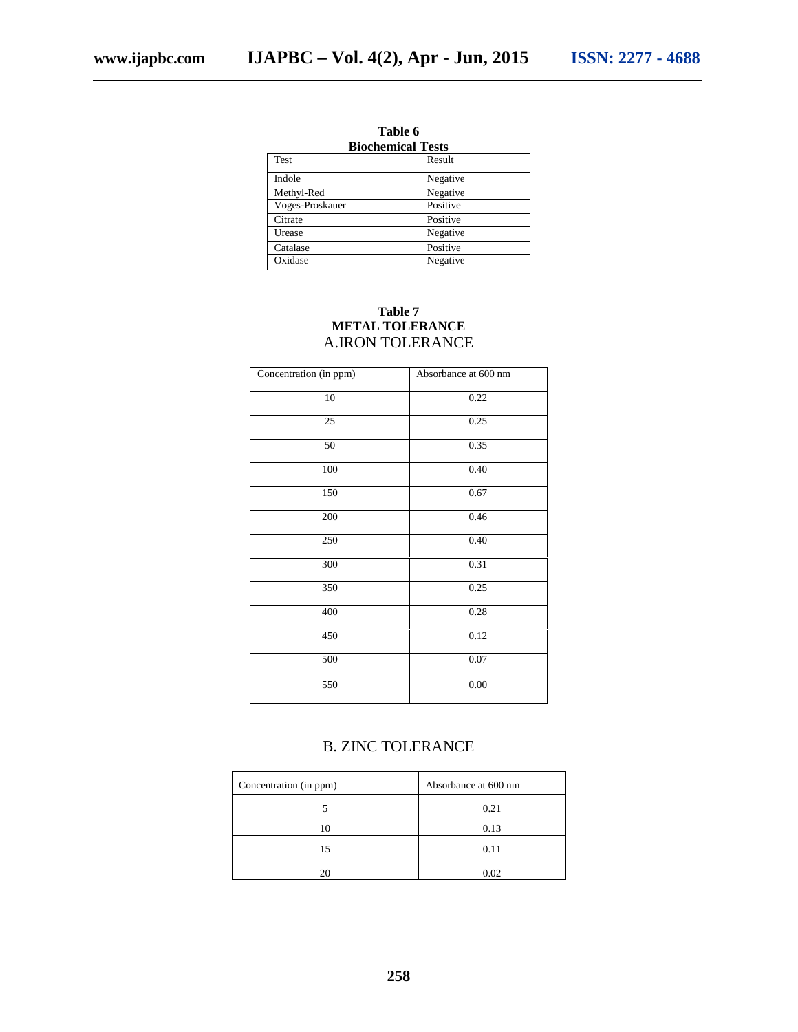| 1 avit v                 |  |  |  |
|--------------------------|--|--|--|
| <b>Biochemical Tests</b> |  |  |  |
| Result                   |  |  |  |
| Negative                 |  |  |  |
| Negative                 |  |  |  |
| Positive                 |  |  |  |
| Positive                 |  |  |  |
| Negative                 |  |  |  |
| Positive                 |  |  |  |
| Negative                 |  |  |  |
|                          |  |  |  |

**Table 6**

#### **Table 7 METAL TOLERANCE** A.IRON TOLERANCE

| Concentration (in ppm) | Absorbance at 600 nm |
|------------------------|----------------------|
| $10\,$                 | 0.22                 |
| 25                     | 0.25                 |
| 50                     | 0.35                 |
| 100                    | 0.40                 |
| 150                    | 0.67                 |
| $200\,$                | 0.46                 |
| 250                    | 0.40                 |
| 300                    | 0.31                 |
| 350                    | 0.25                 |
| 400                    | 0.28                 |
| 450                    | 0.12                 |
| 500                    | 0.07                 |
| 550                    | 0.00                 |

## B. ZINC TOLERANCE

| Concentration (in ppm) | Absorbance at 600 nm |
|------------------------|----------------------|
|                        | 0.21                 |
| 10                     | 0.13                 |
| 15                     | 0.11                 |
| 20                     | 0.02                 |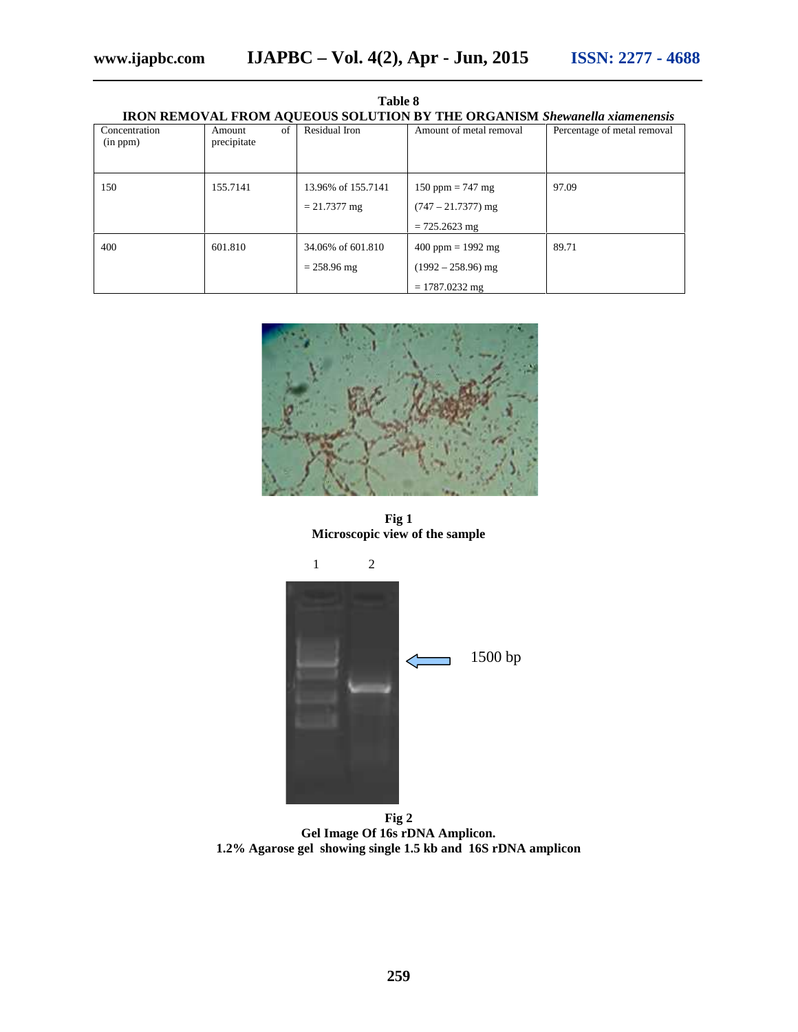**Table 8**

| <b>IRON REMOVAL FROM AQUEOUS SOLUTION BY THE ORGANISM Shewanella xiamenensis</b> |                             |                                      |                                                                 |                             |  |
|----------------------------------------------------------------------------------|-----------------------------|--------------------------------------|-----------------------------------------------------------------|-----------------------------|--|
| Concentration<br>(in ppm)                                                        | of<br>Amount<br>precipitate | Residual Iron                        | Amount of metal removal                                         | Percentage of metal removal |  |
| 150                                                                              | 155.7141                    | 13.96% of 155.7141<br>$= 21.7377$ mg | 150 ppm = 747 mg<br>$(747 - 21.7377)$ mg<br>$= 725.2623$ mg     | 97.09                       |  |
| 400                                                                              | 601.810                     | 34.06% of 601.810<br>$= 258.96$ mg   | $400$ ppm = 1992 mg<br>$(1992 - 258.96)$ mg<br>$= 1787.0232$ mg | 89.71                       |  |



**Fig 1 Microscopic view of the sample**



**Fig 2 Gel Image Of 16s rDNA Amplicon. 1.2% Agarose gel showing single 1.5 kb and 16S rDNA amplicon**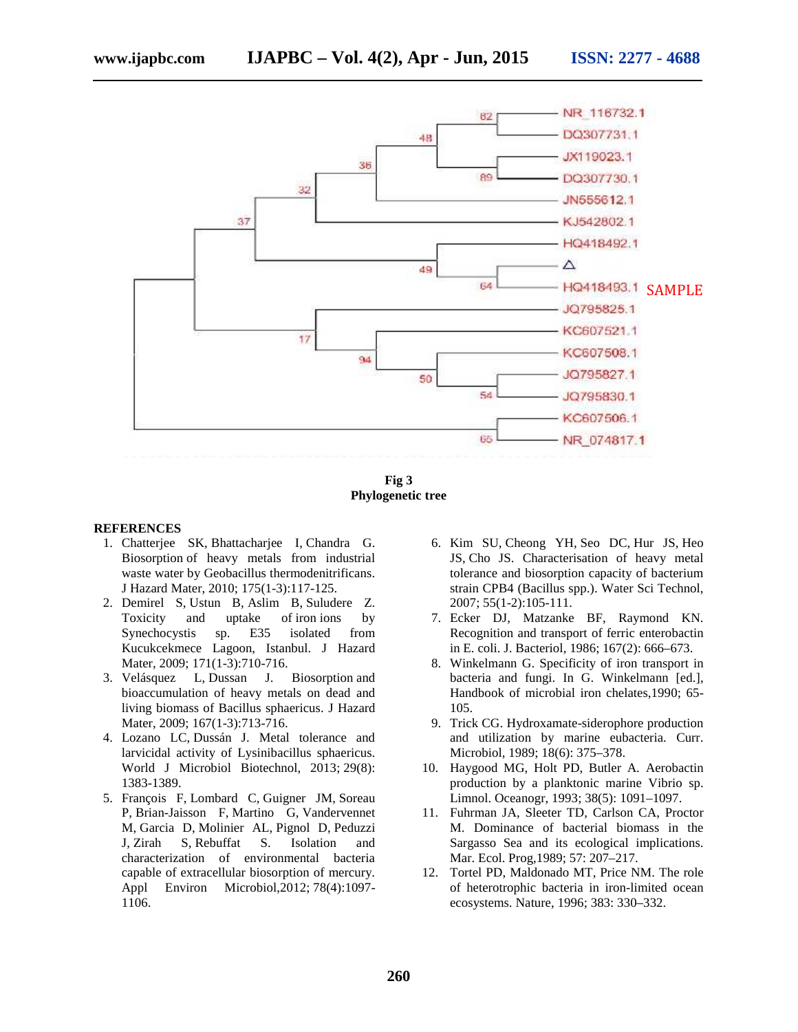

**Fig 3 Phylogenetic tree**

#### **REFERENCES**

- 1. Chatterjee SK, Bhattacharjee I, Chandra G. Biosorption of heavy metals from industrial waste water by Geobacillus thermodenitrificans. J Hazard Mater, 2010; 175(1-3):117-125.
- 2. Demirel S, Ustun B, Aslim B, Suludere Z. Toxicity and uptake of iron ions by Synechocystis sp. E35 isolated from Kucukcekmece Lagoon, Istanbul. J Hazard Mater, 2009; 171(1-3):710-716.
- 3. Velásquez L, Dussan J. Biosorption and bioaccumulation of heavy metals on dead and living biomass of Bacillus sphaericus. J Hazard Mater, 2009; 167(1-3):713-716.
- 4. Lozano LC, Dussán J. Metal tolerance and larvicidal activity of Lysinibacillus sphaericus. World J Microbiol Biotechnol, 2013; 29(8): 1383-1389.
- 5. François F, Lombard C, Guigner JM, Soreau P, Brian-Jaisson F, Martino G, Vandervennet M, Garcia D, Molinier AL, Pignol D, Peduzzi J, Zirah S, Rebuffat S. Isolation and characterization of environmental bacteria capable of extracellular biosorption of mercury. Appl Environ Microbiol,2012; 78(4):1097- 1106.
- 6. Kim SU, Cheong YH, Seo DC, Hur JS, Heo JS, Cho JS. Characterisation of heavy metal tolerance and biosorption capacity of bacterium strain CPB4 (Bacillus spp.). Water Sci Technol, 2007; 55(1-2):105-111.
- 7. Ecker DJ, Matzanke BF, Raymond KN. Recognition and transport of ferric enterobactin in E. coli. J. Bacteriol, 1986; 167(2): 666–673.
- 8. Winkelmann G. Specificity of iron transport in bacteria and fungi. In G. Winkelmann [ed.], Handbook of microbial iron chelates,1990; 65- 105.
- 9. Trick CG. Hydroxamate-siderophore production and utilization by marine eubacteria. Curr. Microbiol, 1989; 18(6): 375–378.
- 10. Haygood MG, Holt PD, Butler A. Aerobactin production by a planktonic marine Vibrio sp. Limnol. Oceanogr, 1993; 38(5): 1091–1097.
- 11. Fuhrman JA, Sleeter TD, Carlson CA, Proctor M. Dominance of bacterial biomass in the Sargasso Sea and its ecological implications. Mar. Ecol. Prog,1989; 57: 207–217.
- 12. Tortel PD, Maldonado MT, Price NM. The role of heterotrophic bacteria in iron-limited ocean ecosystems. Nature, 1996; 383: 330–332.